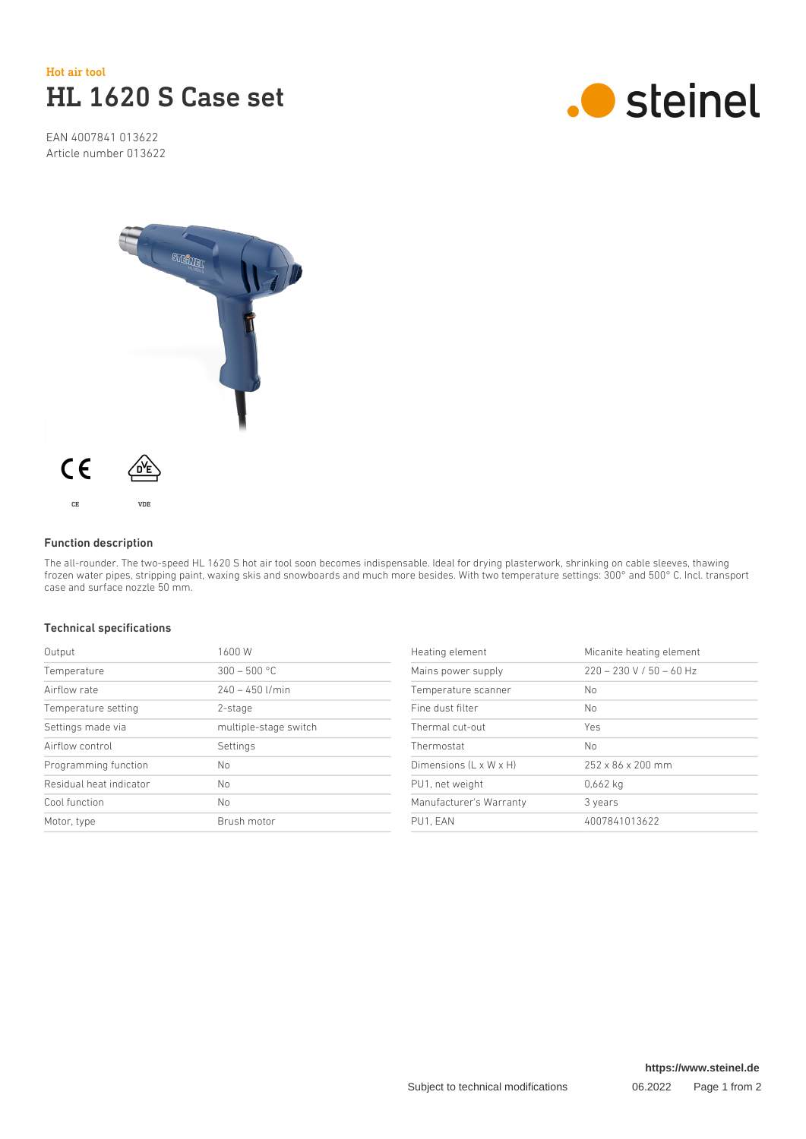

EAN 4007841 013622 Article number 013622





## Function description

The all-rounder. The two-speed HL 1620 S hot air tool soon becomes indispensable. Ideal for drying plasterwork, shrinking on cable sleeves, thawing frozen water pipes, stripping paint, waxing skis and snowboards and much more besides. With two temperature settings: 300° and 500° C. Incl. transport case and surface nozzle 50 mm.

## Technical specifications

| Output                  | 1600 W                |
|-------------------------|-----------------------|
| Temperature             | $300 - 500$ °C        |
| Airflow rate            | $240 - 450$ I/min     |
| Temperature setting     | 2-stage               |
| Settings made via       | multiple-stage switch |
| Airflow control         | Settings              |
| Programming function    | No                    |
| Residual heat indicator | No                    |
| Cool function           | No                    |
| Motor, type             | Brush motor           |

| Heating element         | Micanite heating element      |
|-------------------------|-------------------------------|
| Mains power supply      | $220 - 230$ V / 50 - 60 Hz    |
| Temperature scanner     | N <sub>o</sub>                |
| Fine dust filter        | N <sub>o</sub>                |
| Thermal cut-out         | Yes                           |
| Thermostat              | N <sub>o</sub>                |
| Dimensions (L x W x H)  | $252 \times 86 \times 200$ mm |
| PU1, net weight         | 0,662 kg                      |
| Manufacturer's Warranty | 3 years                       |
| PU1. EAN                | 4007841013622                 |